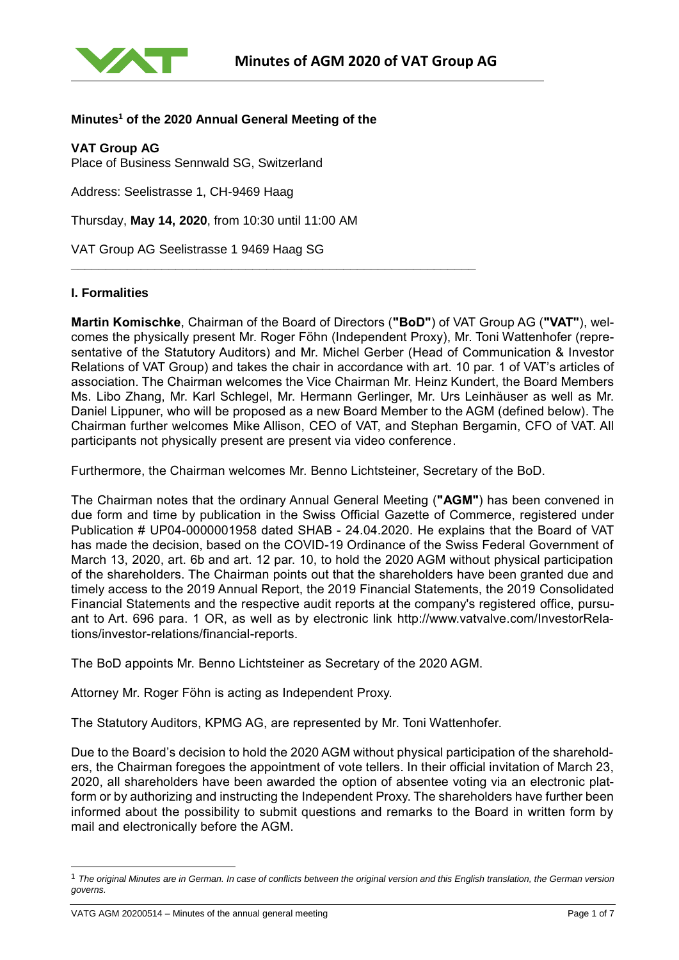

# **Minutes<sup>1</sup> of the 2020 Annual General Meeting of the**

**VAT Group AG**

Place of Business Sennwald SG, Switzerland

Address: Seelistrasse 1, CH-9469 Haag

Thursday, **May 14, 2020**, from 10:30 until 11:00 AM

**\_\_\_\_\_\_\_\_\_\_\_\_\_\_\_\_\_\_\_\_\_\_\_\_\_\_\_\_\_\_\_\_\_\_\_\_\_\_\_\_\_\_\_\_\_\_\_\_\_\_\_\_\_\_\_\_\_\_**

VAT Group AG Seelistrasse 1 9469 Haag SG

#### **I. Formalities**

**Martin Komischke**, Chairman of the Board of Directors (**"BoD"**) of VAT Group AG (**"VAT"**), welcomes the physically present Mr. Roger Föhn (Independent Proxy), Mr. Toni Wattenhofer (representative of the Statutory Auditors) and Mr. Michel Gerber (Head of Communication & Investor Relations of VAT Group) and takes the chair in accordance with art. 10 par. 1 of VAT's articles of association. The Chairman welcomes the Vice Chairman Mr. Heinz Kundert, the Board Members Ms. Libo Zhang, Mr. Karl Schlegel, Mr. Hermann Gerlinger, Mr. Urs Leinhäuser as well as Mr. Daniel Lippuner, who will be proposed as a new Board Member to the AGM (defined below). The Chairman further welcomes Mike Allison, CEO of VAT, and Stephan Bergamin, CFO of VAT. All participants not physically present are present via video conference.

Furthermore, the Chairman welcomes Mr. Benno Lichtsteiner, Secretary of the BoD.

The Chairman notes that the ordinary Annual General Meeting (**"AGM"**) has been convened in due form and time by publication in the Swiss Official Gazette of Commerce, registered under Publication # UP04-0000001958 dated SHAB - 24.04.2020. He explains that the Board of VAT has made the decision, based on the COVID-19 Ordinance of the Swiss Federal Government of March 13, 2020, art. 6b and art. 12 par. 10, to hold the 2020 AGM without physical participation of the shareholders. The Chairman points out that the shareholders have been granted due and timely access to the 2019 Annual Report, the 2019 Financial Statements, the 2019 Consolidated Financial Statements and the respective audit reports at the company's registered office, pursuant to Art. 696 para. 1 OR, as well as by electronic link [http://www.vatvalve.com/InvestorRela](http://www.vatvalve.com/InvestorRelations/investor-relations/financial-reports)[tions/investor-relations/financial-reports.](http://www.vatvalve.com/InvestorRelations/investor-relations/financial-reports)

The BoD appoints Mr. Benno Lichtsteiner as Secretary of the 2020 AGM.

Attorney Mr. Roger Föhn is acting as Independent Proxy.

The Statutory Auditors, KPMG AG, are represented by Mr. Toni Wattenhofer.

Due to the Board's decision to hold the 2020 AGM without physical participation of the shareholders, the Chairman foregoes the appointment of vote tellers. In their official invitation of March 23, 2020, all shareholders have been awarded the option of absentee voting via an electronic platform or by authorizing and instructing the Independent Proxy. The shareholders have further been informed about the possibility to submit questions and remarks to the Board in written form by mail and electronically before the AGM.

l

<sup>1</sup> *The original Minutes are in German. In case of conflicts between the original version and this English translation, the German version governs.*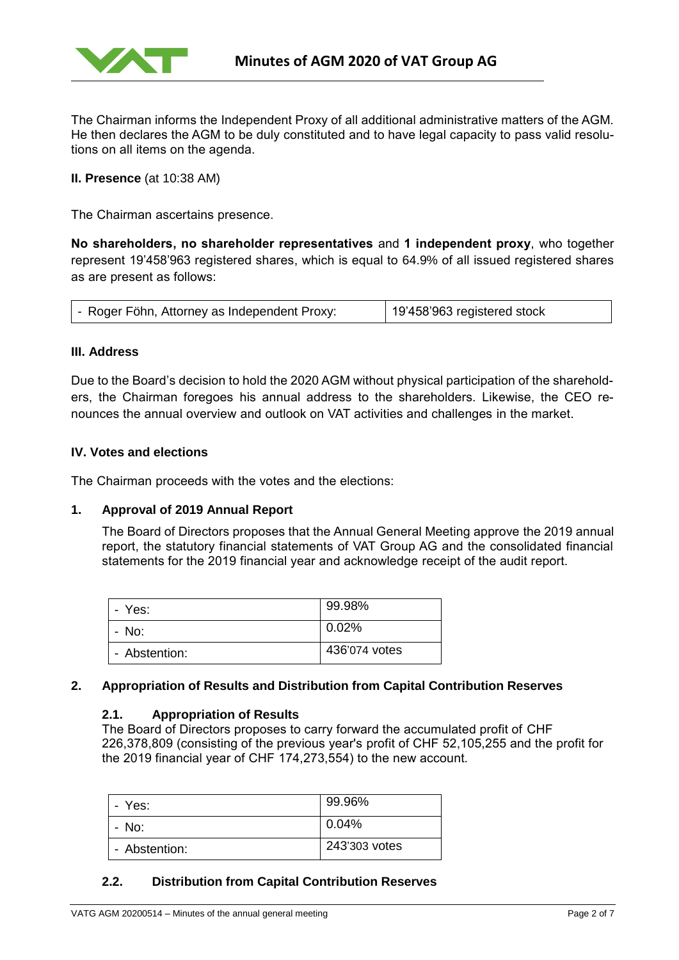

The Chairman informs the Independent Proxy of all additional administrative matters of the AGM. He then declares the AGM to be duly constituted and to have legal capacity to pass valid resolutions on all items on the agenda.

**II. Presence** (at 10:38 AM)

The Chairman ascertains presence.

**No shareholders, no shareholder representatives** and **1 independent proxy**, who together represent 19'458'963 registered shares, which is equal to 64.9% of all issued registered shares as are present as follows:

| - Roger Föhn, Attorney as Independent Proxy: | 19'458'963 registered stock |
|----------------------------------------------|-----------------------------|
|----------------------------------------------|-----------------------------|

#### **III. Address**

Due to the Board's decision to hold the 2020 AGM without physical participation of the shareholders, the Chairman foregoes his annual address to the shareholders. Likewise, the CEO renounces the annual overview and outlook on VAT activities and challenges in the market.

#### **IV. Votes and elections**

The Chairman proceeds with the votes and the elections:

## **1. Approval of 2019 Annual Report**

The Board of Directors proposes that the Annual General Meeting approve the 2019 annual report, the statutory financial statements of VAT Group AG and the consolidated financial statements for the 2019 financial year and acknowledge receipt of the audit report.

| - Yes:        | 99.98%        |
|---------------|---------------|
| - No:         | $0.02\%$      |
| - Abstention: | 436'074 votes |

#### **2. Appropriation of Results and Distribution from Capital Contribution Reserves**

#### **2.1. Appropriation of Results**

The Board of Directors proposes to carry forward the accumulated profit of CHF 226,378,809 (consisting of the previous year's profit of CHF 52,105,255 and the profit for the 2019 financial year of CHF 174,273,554) to the new account.

| - Yes:        | 99.96%        |
|---------------|---------------|
| - No:         | 0.04%         |
| - Abstention: | 243'303 votes |

# **2.2. [Distribution from Capital Contribution Reserves](file:///C:/Users/koem/AppData/Local/Microsoft/Windows/INetCache/Content.Outlook/8T22CDA9/2017%2003%2031%20-%20GV%20Einladung.docx%23_Toc478713180)**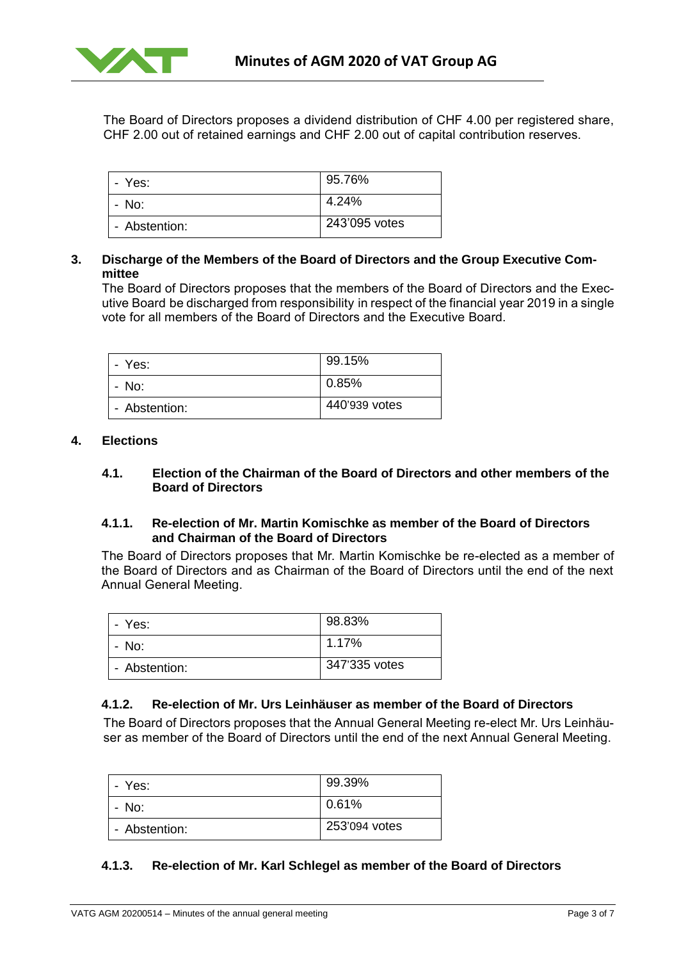

The Board of Directors proposes a dividend distribution of CHF 4.00 per registered share, CHF 2.00 out of retained earnings and CHF 2.00 out of capital contribution reserves.

| - Yes:        | 95.76%        |
|---------------|---------------|
| - No:         | 4.24%         |
| - Abstention: | 243'095 votes |

## **3. Discharge of the Members of the Board of Directors and the Group Executive Committee**

The Board of Directors proposes that the members of the Board of Directors and the Executive Board be discharged from responsibility in respect of the financial year 2019 in a single vote for all members of the Board of Directors and the Executive Board.

| - Yes:        | 99.15%        |
|---------------|---------------|
| - No:         | 0.85%         |
| - Abstention: | 440'939 votes |

#### **4. [Elections](file:///C:/Users/koem/AppData/Local/Microsoft/Windows/INetCache/Content.Outlook/8T22CDA9/2017%2003%2031%20-%20GV%20Einladung.docx%23_Toc478713182)**

#### **4.1. Election of the Chairman of the Board of Directors and other members of the Board of Directors**

#### **4.1.1. Re-election of Mr. Martin Komischke as member of the Board of Directors and Chairman of the Board of Directors**

The Board of Directors proposes that Mr. Martin Komischke be re-elected as a member of the Board of Directors and as Chairman of the Board of Directors until the end of the next Annual General Meeting.

| - Yes:        | 98.83%        |
|---------------|---------------|
| - No:         | 1.17%         |
| - Abstention: | 347'335 votes |

# **4.1.2. Re-election of Mr. Urs Leinhäuser as member of the Board of Directors**

The Board of Directors proposes that the Annual General Meeting re-elect Mr. Urs Leinhäuser as member of the Board of Directors until the end of the next Annual General Meeting.

| - Yes:        | 99.39%        |
|---------------|---------------|
| - No:         | 0.61%         |
| - Abstention: | 253'094 votes |

## **4.1.3. Re-election of Mr. Karl Schlegel as member of the Board of Directors**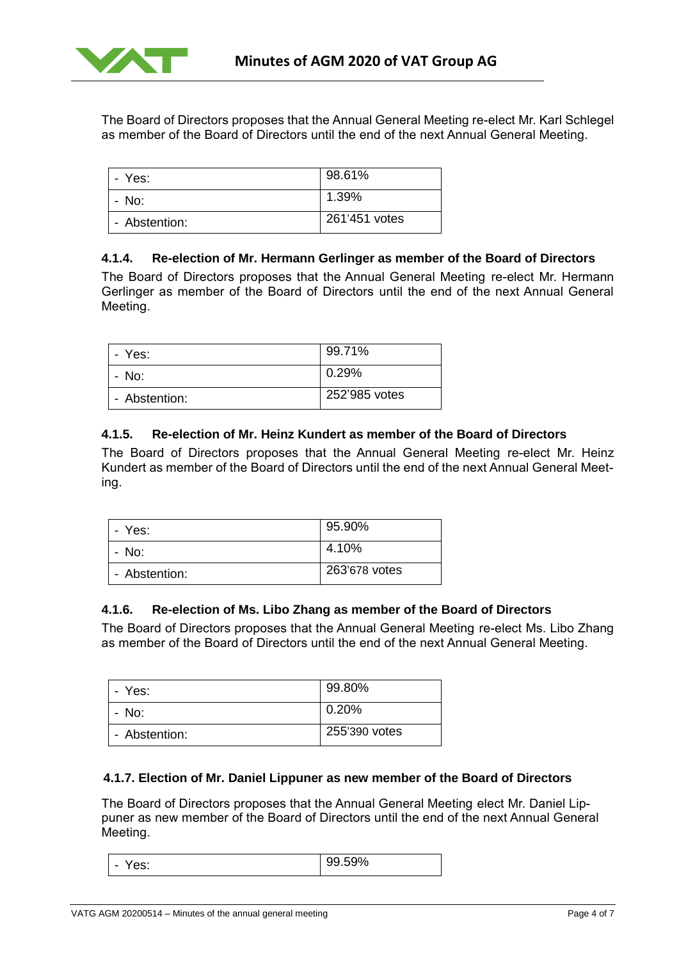

The Board of Directors proposes that the Annual General Meeting re-elect Mr. Karl Schlegel as member of the Board of Directors until the end of the next Annual General Meeting.

| - Yes:        | 98.61%        |
|---------------|---------------|
| - No:         | 1.39%         |
| - Abstention: | 261'451 votes |

# **4.1.4. Re-election of Mr. Hermann Gerlinger as member of the Board of Directors**

The Board of Directors proposes that the Annual General Meeting re-elect Mr. Hermann Gerlinger as member of the Board of Directors until the end of the next Annual General Meeting.

| - Yes:        | 99.71%        |
|---------------|---------------|
| - No:         | 0.29%         |
| - Abstention: | 252'985 votes |

# **4.1.5. Re-election of Mr. Heinz Kundert as member of the Board of Directors**

The Board of Directors proposes that the Annual General Meeting re-elect Mr. Heinz Kundert as member of the Board of Directors until the end of the next Annual General Meeting.

| - Yes:        | 95.90%        |
|---------------|---------------|
| - No:         | 4.10%         |
| - Abstention: | 263'678 votes |

## **4.1.6. Re-election of Ms. Libo Zhang as member of the Board of Directors**

The Board of Directors proposes that the Annual General Meeting re-elect Ms. Libo Zhang as member of the Board of Directors until the end of the next Annual General Meeting.

| - Yes:        | 99.80%        |
|---------------|---------------|
| - No:         | 0.20%         |
| - Abstention: | 255'390 votes |

## **4.1.7. Election of Mr. Daniel Lippuner as new member of the Board of Directors**

The Board of Directors proposes that the Annual General Meeting elect Mr. Daniel Lippuner as new member of the Board of Directors until the end of the next Annual General Meeting.

| Yes:<br>$\overline{\phantom{0}}$ | 99.59% |
|----------------------------------|--------|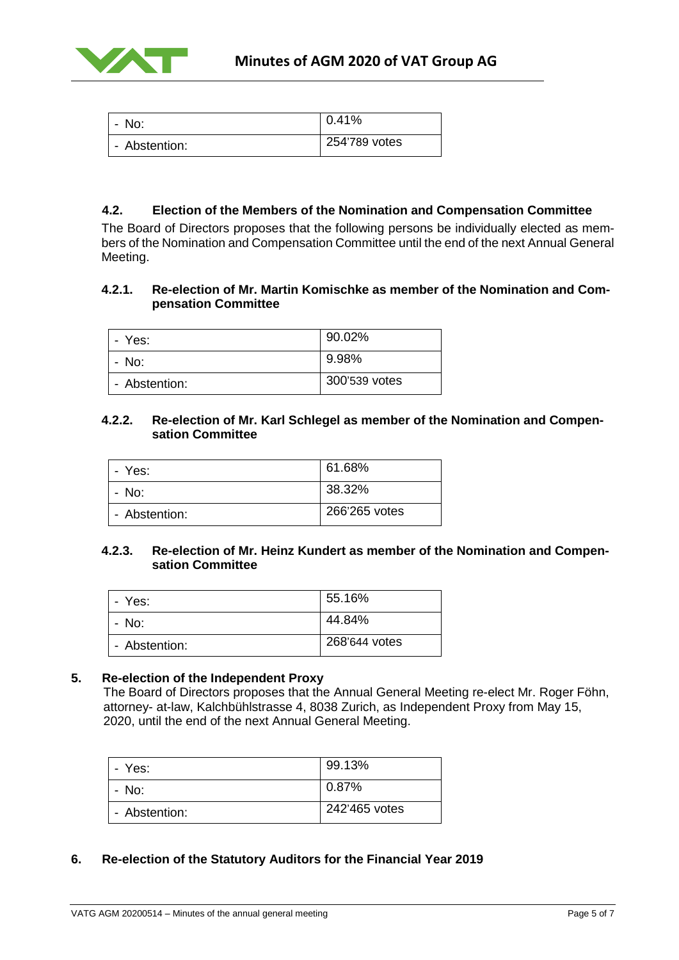

| No:<br>-      | 0.41%         |
|---------------|---------------|
| - Abstention: | 254'789 votes |

# **4.2. Election of the Members of the Nomination and Compensation Committee**

The Board of Directors proposes that the following persons be individually elected as members of the Nomination and Compensation Committee until the end of the next Annual General Meeting.

# **4.2.1. Re-election of Mr. Martin Komischke as member of the Nomination and Compensation Committee**

| - Yes:        | 90.02%        |
|---------------|---------------|
| - No:         | 9.98%         |
| - Abstention: | 300'539 votes |

#### **4.2.2. Re-election of Mr. Karl Schlegel as member of the Nomination and Compensation Committee**

| - Yes:        | 61.68%        |
|---------------|---------------|
| - No:         | 38.32%        |
| - Abstention: | 266'265 votes |

## **4.2.3. Re-election of Mr. Heinz Kundert as member of the Nomination and Compensation Committee**

| - Yes:        | 55.16%        |
|---------------|---------------|
| - No:         | 44.84%        |
| - Abstention: | 268'644 votes |

## **5. Re-election of the Independent Proxy**

The Board of Directors proposes that the Annual General Meeting re-elect Mr. Roger Föhn, attorney- at-law, Kalchbühlstrasse 4, 8038 Zurich, as Independent Proxy from May 15, 2020, until the end of the next Annual General Meeting.

| - Yes:        | 99.13%        |
|---------------|---------------|
| - No:         | 0.87%         |
| - Abstention: | 242'465 votes |

# **6. Re-election of the Statutory Auditors for the Financial Year 2019**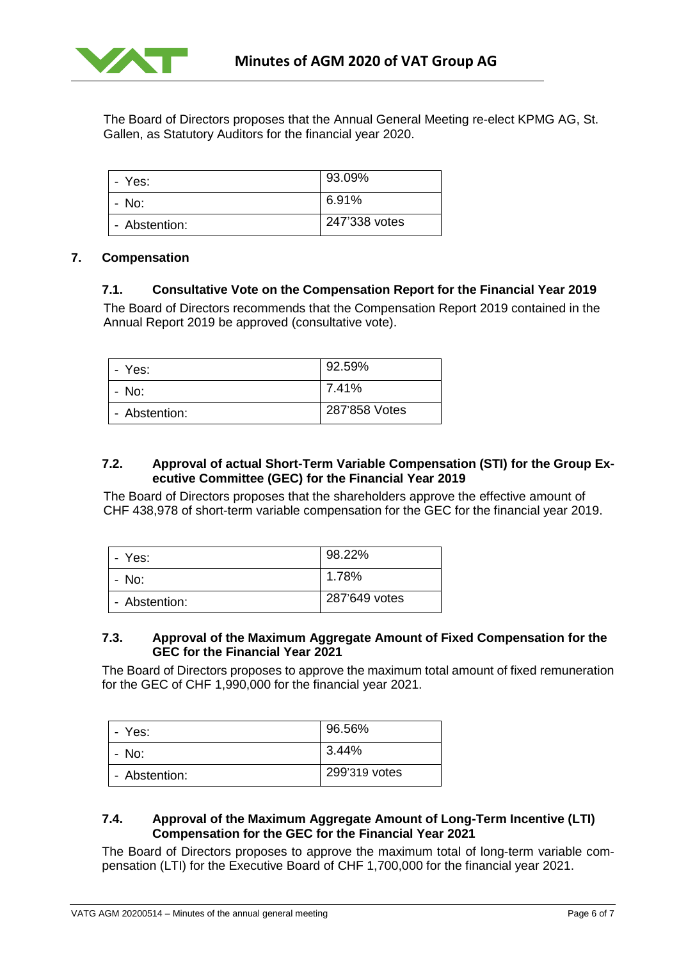

The Board of Directors proposes that the Annual General Meeting re-elect KPMG AG, St. Gallen, as Statutory Auditors for the financial year 2020.

| - Yes:        | 93.09%        |
|---------------|---------------|
| - No:         | 6.91%         |
| - Abstention: | 247'338 votes |

## **7. Compensation**

#### **7.1. Consultative Vote on the Compensation Report for the Financial Year 2019**

The Board of Directors recommends that the Compensation Report 2019 contained in the Annual Report 2019 be approved (consultative vote).

| - Yes:        | 92.59%        |
|---------------|---------------|
| - No:         | 7.41%         |
| - Abstention: | 287'858 Votes |

## **7.2. Approval of actual Short-Term Variable Compensation (STI) for the Group Executive Committee (GEC) for the Financial Year 2019**

The Board of Directors proposes that the shareholders approve the effective amount of CHF 438,978 of short-term variable compensation for the GEC for the financial year 2019.

| - Yes:        | 98.22%        |
|---------------|---------------|
| - No:         | 1.78%         |
| - Abstention: | 287'649 votes |

## **7.3. Approval of the Maximum Aggregate Amount of Fixed Compensation for the GEC for the Financial Year 2021**

The Board of Directors proposes to approve the maximum total amount of fixed remuneration for the GEC of CHF 1,990,000 for the financial year 2021.

| - Yes:        | 96.56%        |
|---------------|---------------|
| - No:         | 3.44%         |
| - Abstention: | 299'319 votes |

## **7.4. Approval of the Maximum Aggregate Amount of Long-Term Incentive (LTI) Compensation for the GEC for the Financial Year 2021**

The Board of Directors proposes to approve the maximum total of long-term variable compensation (LTI) for the Executive Board of CHF 1,700,000 for the financial year 2021.